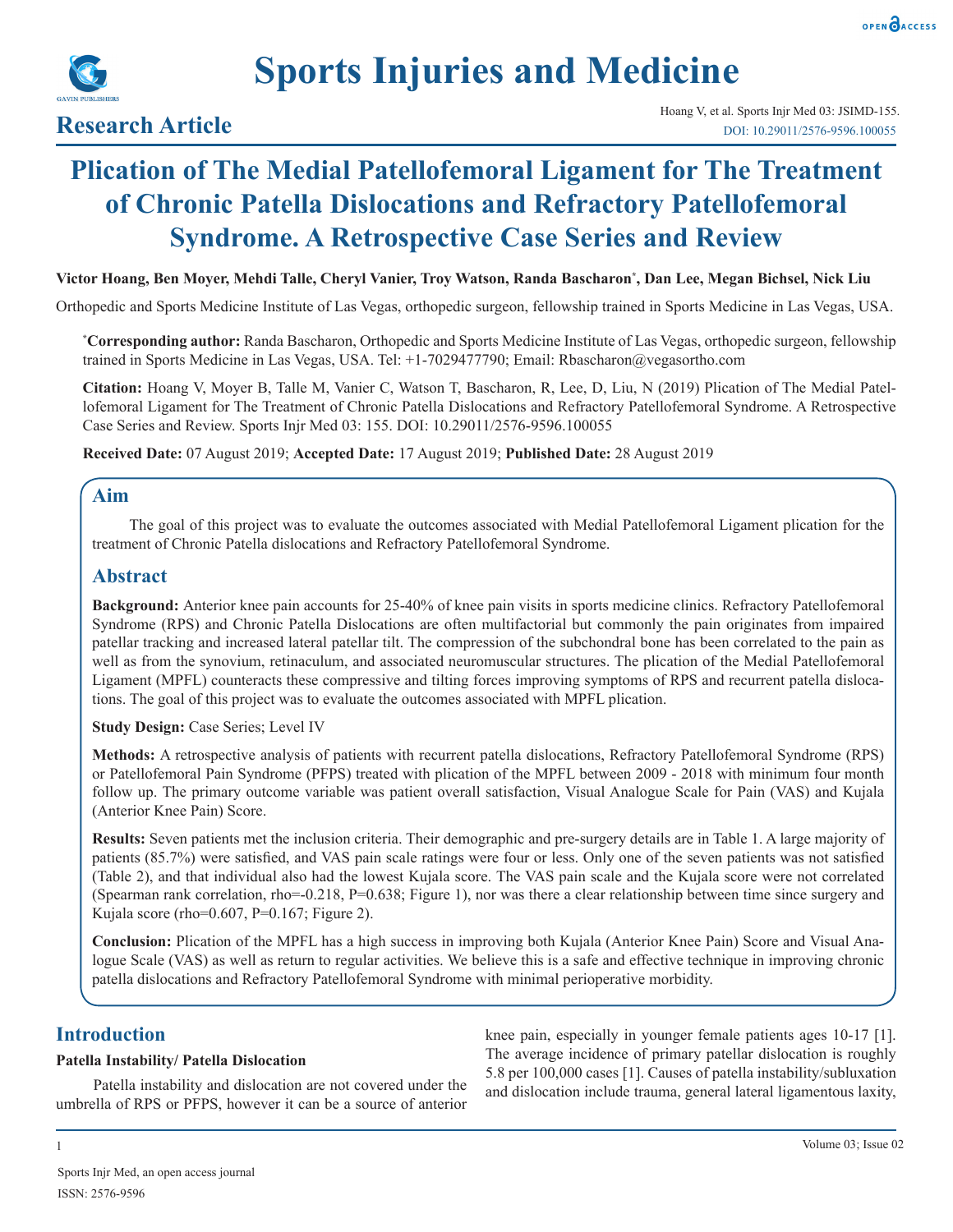

# **Plication of The Medial Patellofemoral Ligament for The Treatment of Chronic Patella Dislocations and Refractory Patellofemoral Syndrome. A Retrospective Case Series and Review**

## **Victor Hoang, Ben Moyer, Mehdi Talle, Cheryl Vanier, Troy Watson, Randa Bascharon\* , Dan Lee, Megan Bichsel, Nick Liu**

Orthopedic and Sports Medicine Institute of Las Vegas, orthopedic surgeon, fellowship trained in Sports Medicine in Las Vegas, USA.

**\* Corresponding author:** Randa Bascharon, Orthopedic and Sports Medicine Institute of Las Vegas, orthopedic surgeon, fellowship trained in Sports Medicine in Las Vegas, USA. Tel: +1-7029477790; Email: Rbascharon@vegasortho.com

**Citation:** Hoang V, Moyer B, Talle M, Vanier C, Watson T, Bascharon, R, Lee, D, Liu, N (2019) Plication of The Medial Patellofemoral Ligament for The Treatment of Chronic Patella Dislocations and Refractory Patellofemoral Syndrome. A Retrospective Case Series and Review. Sports Injr Med 03: 155. DOI: 10.29011/2576-9596.100055

**Received Date:** 07 August 2019; **Accepted Date:** 17 August 2019; **Published Date:** 28 August 2019

# **Aim**

The goal of this project was to evaluate the outcomes associated with Medial Patellofemoral Ligament plication for the treatment of Chronic Patella dislocations and Refractory Patellofemoral Syndrome.

# **Abstract**

**Background:** Anterior knee pain accounts for 25-40% of knee pain visits in sports medicine clinics. Refractory Patellofemoral Syndrome (RPS) and Chronic Patella Dislocations are often multifactorial but commonly the pain originates from impaired patellar tracking and increased lateral patellar tilt. The compression of the subchondral bone has been correlated to the pain as well as from the synovium, retinaculum, and associated neuromuscular structures. The plication of the Medial Patellofemoral Ligament (MPFL) counteracts these compressive and tilting forces improving symptoms of RPS and recurrent patella dislocations. The goal of this project was to evaluate the outcomes associated with MPFL plication.

**Study Design: Case Series; Level IV** 

**Methods:** A retrospective analysis of patients with recurrent patella dislocations, Refractory Patellofemoral Syndrome (RPS) or Patellofemoral Pain Syndrome (PFPS) treated with plication of the MPFL between 2009 - 2018 with minimum four month follow up. The primary outcome variable was patient overall satisfaction, Visual Analogue Scale for Pain (VAS) and Kujala (Anterior Knee Pain) Score.

**Results:** Seven patients met the inclusion criteria. Their demographic and pre-surgery details are in Table 1. A large majority of patients (85.7%) were satisfied, and VAS pain scale ratings were four or less. Only one of the seven patients was not satisfied (Table 2), and that individual also had the lowest Kujala score. The VAS pain scale and the Kujala score were not correlated (Spearman rank correlation, rho=-0.218, P=0.638; Figure 1), nor was there a clear relationship between time since surgery and Kujala score (rho=0.607, P=0.167; Figure 2).

**Conclusion:** Plication of the MPFL has a high success in improving both Kujala (Anterior Knee Pain) Score and Visual Analogue Scale (VAS) as well as return to regular activities. We believe this is a safe and effective technique in improving chronic patella dislocations and Refractory Patellofemoral Syndrome with minimal perioperative morbidity.

# **Introduction**

## **Patella Instability/ Patella Dislocation**

Patella instability and dislocation are not covered under the umbrella of RPS or PFPS, however it can be a source of anterior

knee pain, especially in younger female patients ages 10-17 [1]. The average incidence of primary patellar dislocation is roughly 5.8 per 100,000 cases [1]. Causes of patella instability/subluxation and dislocation include trauma, general lateral ligamentous laxity,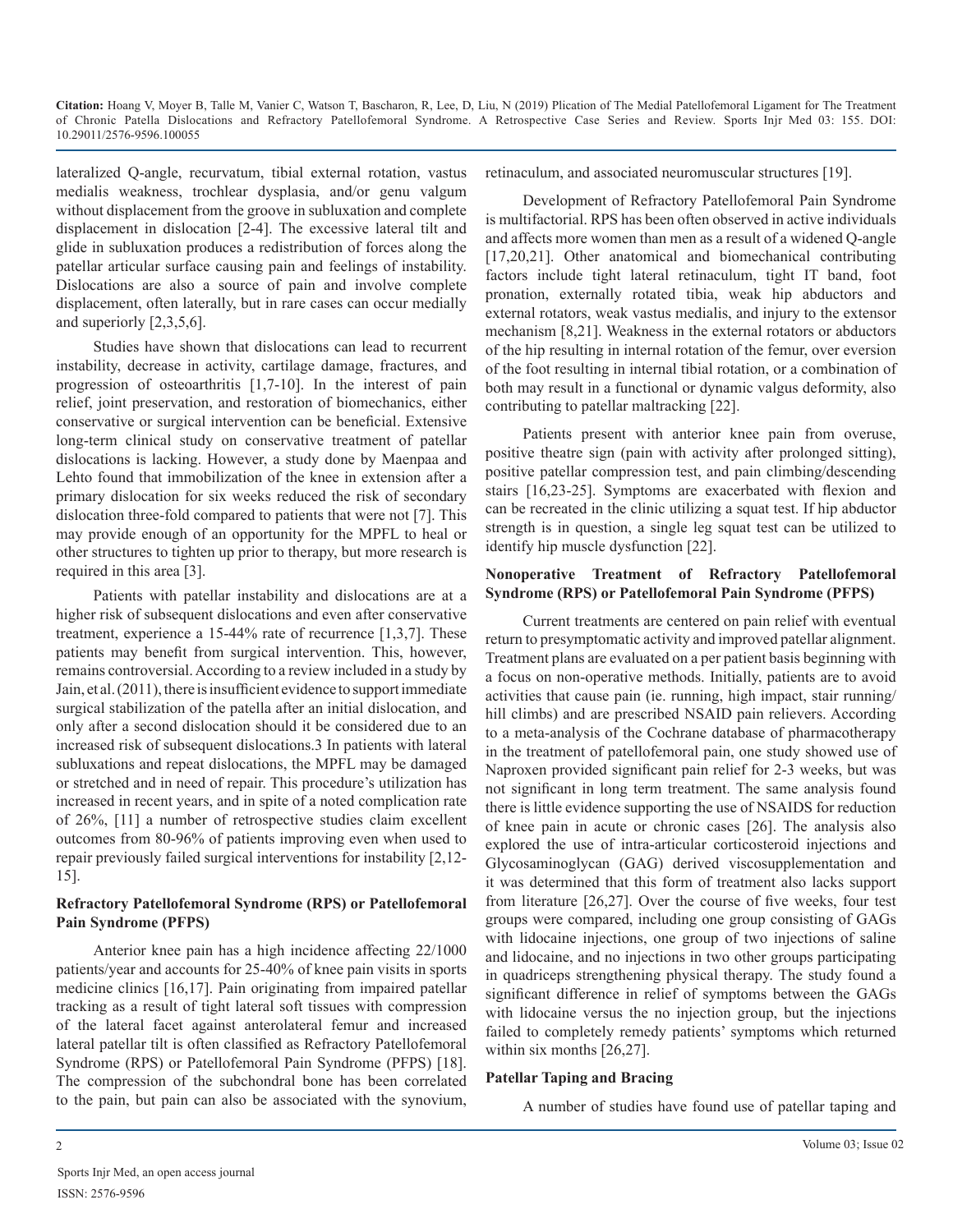lateralized Q-angle, recurvatum, tibial external rotation, vastus medialis weakness, trochlear dysplasia, and/or genu valgum without displacement from the groove in subluxation and complete displacement in dislocation [2-4]. The excessive lateral tilt and glide in subluxation produces a redistribution of forces along the patellar articular surface causing pain and feelings of instability. Dislocations are also a source of pain and involve complete displacement, often laterally, but in rare cases can occur medially and superiorly [2,3,5,6].

Studies have shown that dislocations can lead to recurrent instability, decrease in activity, cartilage damage, fractures, and progression of osteoarthritis [1,7-10]. In the interest of pain relief, joint preservation, and restoration of biomechanics, either conservative or surgical intervention can be beneficial. Extensive long-term clinical study on conservative treatment of patellar dislocations is lacking. However, a study done by Maenpaa and Lehto found that immobilization of the knee in extension after a primary dislocation for six weeks reduced the risk of secondary dislocation three-fold compared to patients that were not [7]. This may provide enough of an opportunity for the MPFL to heal or other structures to tighten up prior to therapy, but more research is required in this area [3].

Patients with patellar instability and dislocations are at a higher risk of subsequent dislocations and even after conservative treatment, experience a 15-44% rate of recurrence [1,3,7]. These patients may benefit from surgical intervention. This, however, remains controversial. According to a review included in a study by Jain, et al. (2011), there is insufficient evidence to support immediate surgical stabilization of the patella after an initial dislocation, and only after a second dislocation should it be considered due to an increased risk of subsequent dislocations.3 In patients with lateral subluxations and repeat dislocations, the MPFL may be damaged or stretched and in need of repair. This procedure's utilization has increased in recent years, and in spite of a noted complication rate of 26%, [11] a number of retrospective studies claim excellent outcomes from 80-96% of patients improving even when used to repair previously failed surgical interventions for instability [2,12- 15].

### **Refractory Patellofemoral Syndrome (RPS) or Patellofemoral Pain Syndrome (PFPS)**

Anterior knee pain has a high incidence affecting 22/1000 patients/year and accounts for 25-40% of knee pain visits in sports medicine clinics [16,17]. Pain originating from impaired patellar tracking as a result of tight lateral soft tissues with compression of the lateral facet against anterolateral femur and increased lateral patellar tilt is often classified as Refractory Patellofemoral Syndrome (RPS) or Patellofemoral Pain Syndrome (PFPS) [18]. The compression of the subchondral bone has been correlated to the pain, but pain can also be associated with the synovium, retinaculum, and associated neuromuscular structures [19].

Development of Refractory Patellofemoral Pain Syndrome is multifactorial. RPS has been often observed in active individuals and affects more women than men as a result of a widened Q-angle [17,20,21]. Other anatomical and biomechanical contributing factors include tight lateral retinaculum, tight IT band, foot pronation, externally rotated tibia, weak hip abductors and external rotators, weak vastus medialis, and injury to the extensor mechanism [8,21]. Weakness in the external rotators or abductors of the hip resulting in internal rotation of the femur, over eversion of the foot resulting in internal tibial rotation, or a combination of both may result in a functional or dynamic valgus deformity, also contributing to patellar maltracking [22].

Patients present with anterior knee pain from overuse, positive theatre sign (pain with activity after prolonged sitting), positive patellar compression test, and pain climbing/descending stairs [16,23-25]. Symptoms are exacerbated with flexion and can be recreated in the clinic utilizing a squat test. If hip abductor strength is in question, a single leg squat test can be utilized to identify hip muscle dysfunction [22].

## **Nonoperative Treatment of Refractory Patellofemoral Syndrome (RPS) or Patellofemoral Pain Syndrome (PFPS)**

Current treatments are centered on pain relief with eventual return to presymptomatic activity and improved patellar alignment. Treatment plans are evaluated on a per patient basis beginning with a focus on non-operative methods. Initially, patients are to avoid activities that cause pain (ie. running, high impact, stair running/ hill climbs) and are prescribed NSAID pain relievers. According to a meta-analysis of the Cochrane database of pharmacotherapy in the treatment of patellofemoral pain, one study showed use of Naproxen provided significant pain relief for 2-3 weeks, but was not significant in long term treatment. The same analysis found there is little evidence supporting the use of NSAIDS for reduction of knee pain in acute or chronic cases [26]. The analysis also explored the use of intra-articular corticosteroid injections and Glycosaminoglycan (GAG) derived viscosupplementation and it was determined that this form of treatment also lacks support from literature [26,27]. Over the course of five weeks, four test groups were compared, including one group consisting of GAGs with lidocaine injections, one group of two injections of saline and lidocaine, and no injections in two other groups participating in quadriceps strengthening physical therapy. The study found a significant difference in relief of symptoms between the GAGs with lidocaine versus the no injection group, but the injections failed to completely remedy patients' symptoms which returned within six months [26,27].

### **Patellar Taping and Bracing**

A number of studies have found use of patellar taping and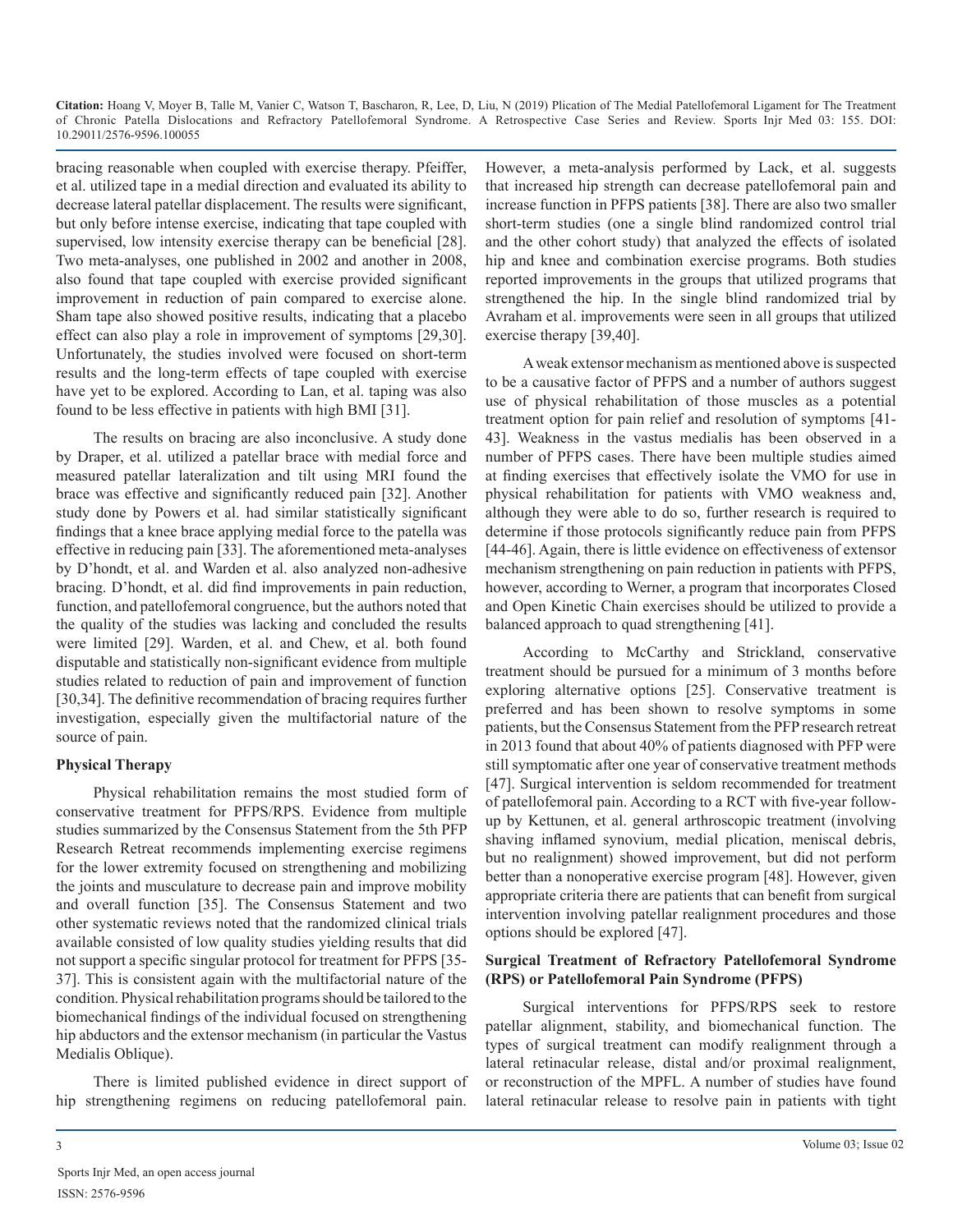bracing reasonable when coupled with exercise therapy. Pfeiffer, et al. utilized tape in a medial direction and evaluated its ability to decrease lateral patellar displacement. The results were significant, but only before intense exercise, indicating that tape coupled with supervised, low intensity exercise therapy can be beneficial [28]. Two meta-analyses, one published in 2002 and another in 2008, also found that tape coupled with exercise provided significant improvement in reduction of pain compared to exercise alone. Sham tape also showed positive results, indicating that a placebo effect can also play a role in improvement of symptoms [29,30]. Unfortunately, the studies involved were focused on short-term results and the long-term effects of tape coupled with exercise have yet to be explored. According to Lan, et al. taping was also found to be less effective in patients with high BMI [31].

The results on bracing are also inconclusive. A study done by Draper, et al. utilized a patellar brace with medial force and measured patellar lateralization and tilt using MRI found the brace was effective and significantly reduced pain [32]. Another study done by Powers et al. had similar statistically significant findings that a knee brace applying medial force to the patella was effective in reducing pain [33]. The aforementioned meta-analyses by D'hondt, et al. and Warden et al. also analyzed non-adhesive bracing. D'hondt, et al. did find improvements in pain reduction, function, and patellofemoral congruence, but the authors noted that the quality of the studies was lacking and concluded the results were limited [29]. Warden, et al. and Chew, et al. both found disputable and statistically non-significant evidence from multiple studies related to reduction of pain and improvement of function [30,34]. The definitive recommendation of bracing requires further investigation, especially given the multifactorial nature of the source of pain.

### **Physical Therapy**

Physical rehabilitation remains the most studied form of conservative treatment for PFPS/RPS. Evidence from multiple studies summarized by the Consensus Statement from the 5th PFP Research Retreat recommends implementing exercise regimens for the lower extremity focused on strengthening and mobilizing the joints and musculature to decrease pain and improve mobility and overall function [35]. The Consensus Statement and two other systematic reviews noted that the randomized clinical trials available consisted of low quality studies yielding results that did not support a specific singular protocol for treatment for PFPS [35- 37]. This is consistent again with the multifactorial nature of the condition. Physical rehabilitation programs should be tailored to the biomechanical findings of the individual focused on strengthening hip abductors and the extensor mechanism (in particular the Vastus Medialis Oblique).

There is limited published evidence in direct support of hip strengthening regimens on reducing patellofemoral pain.

However, a meta-analysis performed by Lack, et al. suggests that increased hip strength can decrease patellofemoral pain and increase function in PFPS patients [38]. There are also two smaller short-term studies (one a single blind randomized control trial and the other cohort study) that analyzed the effects of isolated hip and knee and combination exercise programs. Both studies reported improvements in the groups that utilized programs that strengthened the hip. In the single blind randomized trial by Avraham et al. improvements were seen in all groups that utilized exercise therapy [39,40].

A weak extensor mechanism as mentioned above is suspected to be a causative factor of PFPS and a number of authors suggest use of physical rehabilitation of those muscles as a potential treatment option for pain relief and resolution of symptoms [41- 43]. Weakness in the vastus medialis has been observed in a number of PFPS cases. There have been multiple studies aimed at finding exercises that effectively isolate the VMO for use in physical rehabilitation for patients with VMO weakness and, although they were able to do so, further research is required to determine if those protocols significantly reduce pain from PFPS [44-46]. Again, there is little evidence on effectiveness of extensor mechanism strengthening on pain reduction in patients with PFPS, however, according to Werner, a program that incorporates Closed and Open Kinetic Chain exercises should be utilized to provide a balanced approach to quad strengthening [41].

According to McCarthy and Strickland, conservative treatment should be pursued for a minimum of 3 months before exploring alternative options [25]. Conservative treatment is preferred and has been shown to resolve symptoms in some patients, but the Consensus Statement from the PFP research retreat in 2013 found that about 40% of patients diagnosed with PFP were still symptomatic after one year of conservative treatment methods [47]. Surgical intervention is seldom recommended for treatment of patellofemoral pain. According to a RCT with five-year followup by Kettunen, et al. general arthroscopic treatment (involving shaving inflamed synovium, medial plication, meniscal debris, but no realignment) showed improvement, but did not perform better than a nonoperative exercise program [48]. However, given appropriate criteria there are patients that can benefit from surgical intervention involving patellar realignment procedures and those options should be explored [47].

## **Surgical Treatment of Refractory Patellofemoral Syndrome (RPS) or Patellofemoral Pain Syndrome (PFPS)**

Surgical interventions for PFPS/RPS seek to restore patellar alignment, stability, and biomechanical function. The types of surgical treatment can modify realignment through a lateral retinacular release, distal and/or proximal realignment, or reconstruction of the MPFL. A number of studies have found lateral retinacular release to resolve pain in patients with tight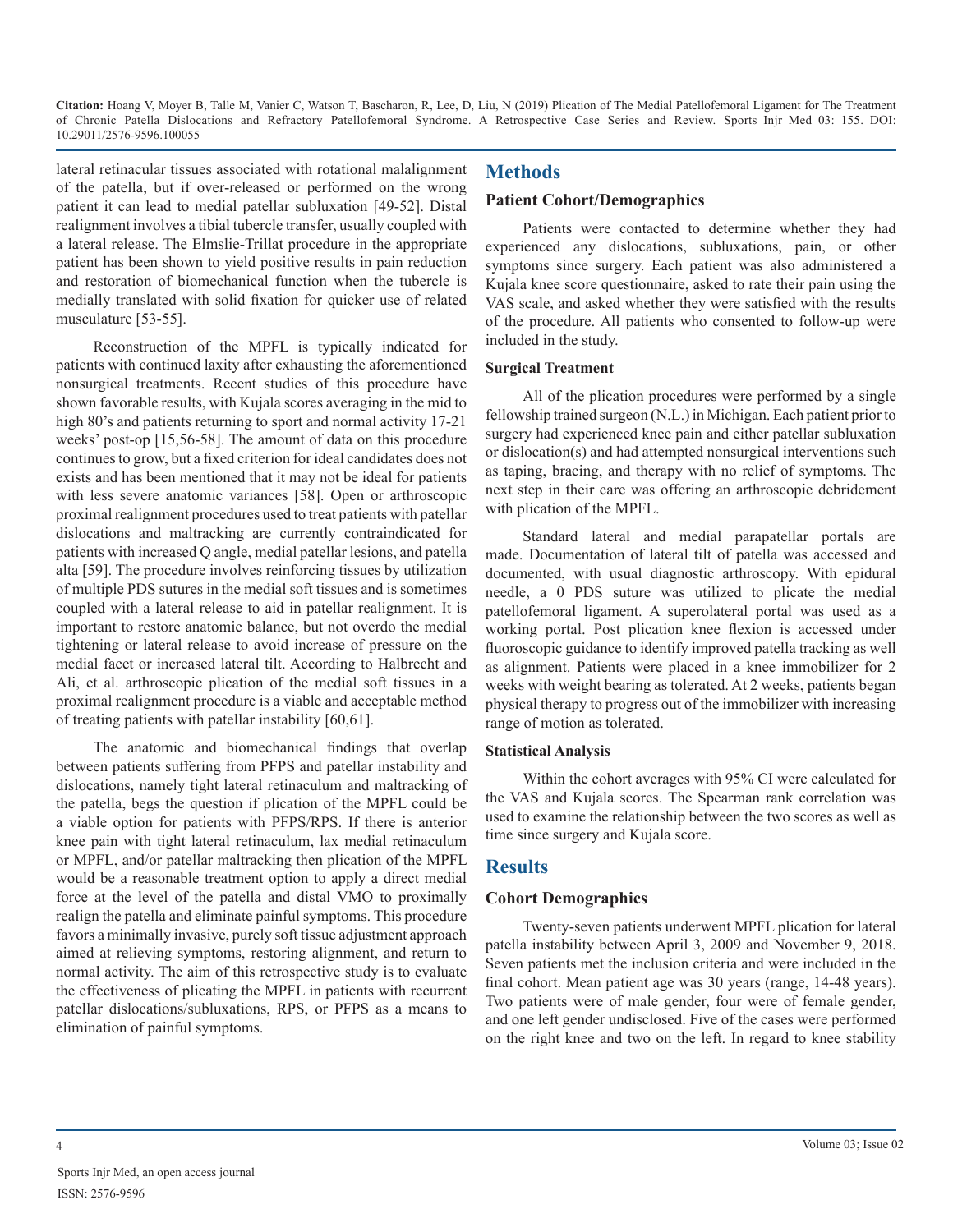lateral retinacular tissues associated with rotational malalignment of the patella, but if over-released or performed on the wrong patient it can lead to medial patellar subluxation [49-52]. Distal realignment involves a tibial tubercle transfer, usually coupled with a lateral release. The Elmslie-Trillat procedure in the appropriate patient has been shown to yield positive results in pain reduction and restoration of biomechanical function when the tubercle is medially translated with solid fixation for quicker use of related musculature [53-55].

Reconstruction of the MPFL is typically indicated for patients with continued laxity after exhausting the aforementioned nonsurgical treatments. Recent studies of this procedure have shown favorable results, with Kujala scores averaging in the mid to high 80's and patients returning to sport and normal activity 17-21 weeks' post-op [15,56-58]. The amount of data on this procedure continues to grow, but a fixed criterion for ideal candidates does not exists and has been mentioned that it may not be ideal for patients with less severe anatomic variances [58]. Open or arthroscopic proximal realignment procedures used to treat patients with patellar dislocations and maltracking are currently contraindicated for patients with increased Q angle, medial patellar lesions, and patella alta [59]. The procedure involves reinforcing tissues by utilization of multiple PDS sutures in the medial soft tissues and is sometimes coupled with a lateral release to aid in patellar realignment. It is important to restore anatomic balance, but not overdo the medial tightening or lateral release to avoid increase of pressure on the medial facet or increased lateral tilt. According to Halbrecht and Ali, et al. arthroscopic plication of the medial soft tissues in a proximal realignment procedure is a viable and acceptable method of treating patients with patellar instability [60,61].

The anatomic and biomechanical findings that overlap between patients suffering from PFPS and patellar instability and dislocations, namely tight lateral retinaculum and maltracking of the patella, begs the question if plication of the MPFL could be a viable option for patients with PFPS/RPS. If there is anterior knee pain with tight lateral retinaculum, lax medial retinaculum or MPFL, and/or patellar maltracking then plication of the MPFL would be a reasonable treatment option to apply a direct medial force at the level of the patella and distal VMO to proximally realign the patella and eliminate painful symptoms. This procedure favors a minimally invasive, purely soft tissue adjustment approach aimed at relieving symptoms, restoring alignment, and return to normal activity. The aim of this retrospective study is to evaluate the effectiveness of plicating the MPFL in patients with recurrent patellar dislocations/subluxations, RPS, or PFPS as a means to elimination of painful symptoms.

## **Methods**

#### **Patient Cohort/Demographics**

Patients were contacted to determine whether they had experienced any dislocations, subluxations, pain, or other symptoms since surgery. Each patient was also administered a Kujala knee score questionnaire, asked to rate their pain using the VAS scale, and asked whether they were satisfied with the results of the procedure. All patients who consented to follow-up were included in the study.

#### **Surgical Treatment**

All of the plication procedures were performed by a single fellowship trained surgeon (N.L.) in Michigan. Each patient prior to surgery had experienced knee pain and either patellar subluxation or dislocation(s) and had attempted nonsurgical interventions such as taping, bracing, and therapy with no relief of symptoms. The next step in their care was offering an arthroscopic debridement with plication of the MPFL.

Standard lateral and medial parapatellar portals are made. Documentation of lateral tilt of patella was accessed and documented, with usual diagnostic arthroscopy. With epidural needle, a 0 PDS suture was utilized to plicate the medial patellofemoral ligament. A superolateral portal was used as a working portal. Post plication knee flexion is accessed under fluoroscopic guidance to identify improved patella tracking as well as alignment. Patients were placed in a knee immobilizer for 2 weeks with weight bearing as tolerated. At 2 weeks, patients began physical therapy to progress out of the immobilizer with increasing range of motion as tolerated.

#### **Statistical Analysis**

Within the cohort averages with 95% CI were calculated for the VAS and Kujala scores. The Spearman rank correlation was used to examine the relationship between the two scores as well as time since surgery and Kujala score.

# **Results**

### **Cohort Demographics**

Twenty-seven patients underwent MPFL plication for lateral patella instability between April 3, 2009 and November 9, 2018. Seven patients met the inclusion criteria and were included in the final cohort. Mean patient age was 30 years (range, 14-48 years). Two patients were of male gender, four were of female gender, and one left gender undisclosed. Five of the cases were performed on the right knee and two on the left. In regard to knee stability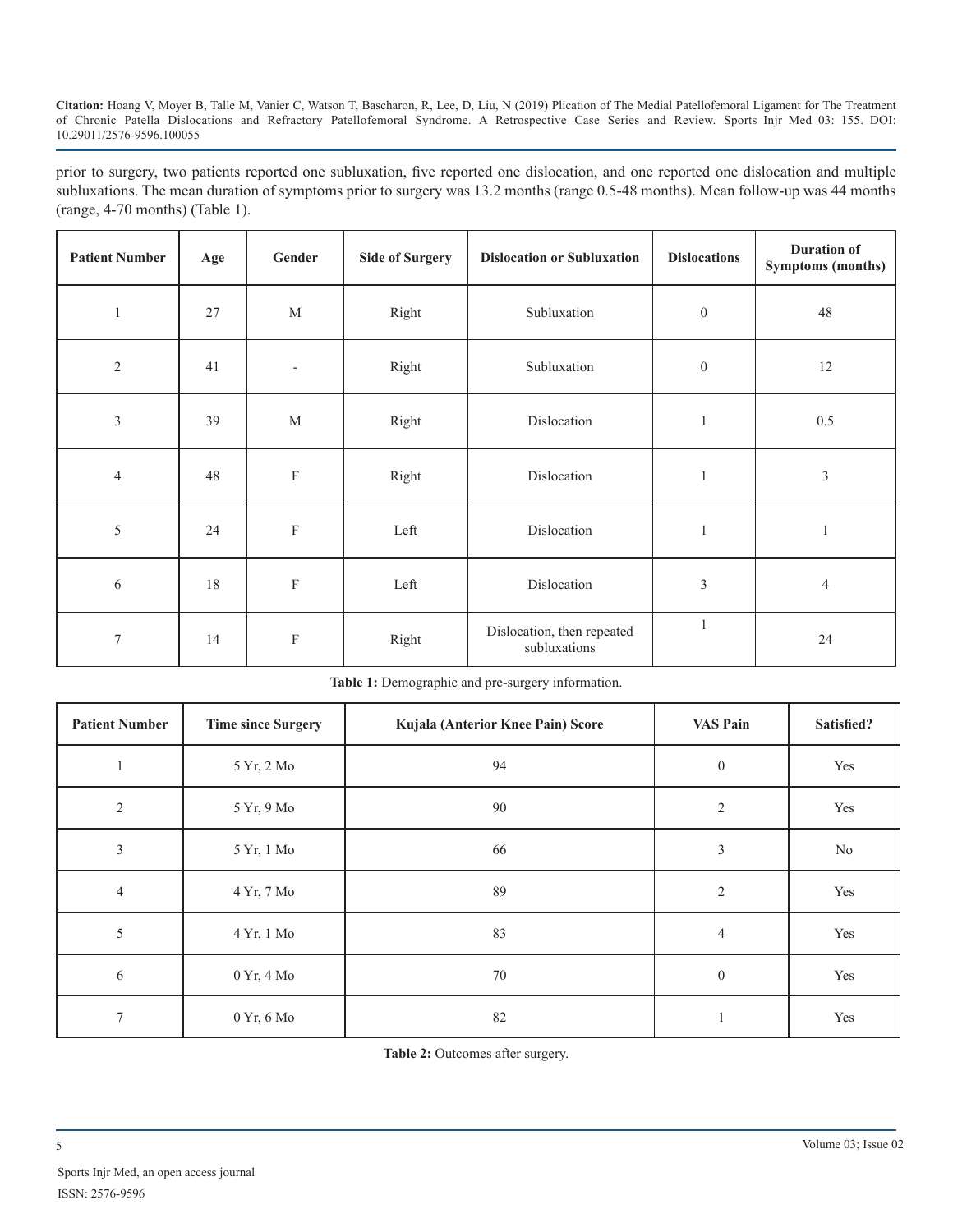prior to surgery, two patients reported one subluxation, five reported one dislocation, and one reported one dislocation and multiple subluxations. The mean duration of symptoms prior to surgery was 13.2 months (range 0.5-48 months). Mean follow-up was 44 months (range, 4-70 months) (Table 1).

| <b>Patient Number</b> | Age | Gender      | <b>Side of Surgery</b> | <b>Dislocation or Subluxation</b>          | <b>Dislocations</b> | <b>Duration of</b><br><b>Symptoms (months)</b> |
|-----------------------|-----|-------------|------------------------|--------------------------------------------|---------------------|------------------------------------------------|
| 1                     | 27  | M           | Right                  | Subluxation                                | $\boldsymbol{0}$    | 48                                             |
| $\sqrt{2}$            | 41  |             | Right                  | Subluxation                                | $\boldsymbol{0}$    | 12                                             |
| $\mathfrak{Z}$        | 39  | M           | Right                  | Dislocation                                | $\mathbf{1}$        | 0.5                                            |
| $\overline{4}$        | 48  | $\mathbf F$ | Right                  | Dislocation                                | $\mathbf{1}$        | $\mathfrak{Z}$                                 |
| 5                     | 24  | ${\bf F}$   | Left                   | Dislocation                                | $\mathbf{1}$        | $\mathbf{1}$                                   |
| 6                     | 18  | $\mathbf F$ | Left                   | Dislocation                                | $\mathfrak{Z}$      | $\overline{4}$                                 |
| $\overline{7}$        | 14  | ${\bf F}$   | Right                  | Dislocation, then repeated<br>subluxations | $\mathbf{1}$        | 24                                             |

**Table 1:** Demographic and pre-surgery information.

| <b>Patient Number</b> | <b>Time since Surgery</b>    | Kujala (Anterior Knee Pain) Score | <b>VAS Pain</b> | Satisfied?     |
|-----------------------|------------------------------|-----------------------------------|-----------------|----------------|
|                       | 5 Yr, 2 Mo                   | 94                                | $\mathbf{0}$    | Yes            |
| $\overline{2}$        | 5 Yr, 9 Mo                   | 90                                | $\overline{2}$  | Yes            |
| $\overline{3}$        | 5 Yr, 1 Mo                   | 66                                | 3               | N <sub>0</sub> |
| $\overline{4}$        | 4 Yr, 7 Mo                   | 89                                | $\overline{2}$  | Yes            |
| 5                     | 4 Yr, 1 Mo                   | 83                                | 4               | Yes            |
| 6                     | $0 \text{ Yr}, 4 \text{ Mo}$ | 70                                | $\mathbf{0}$    | Yes            |
| $\tau$                | 0 Yr, 6 Mo                   | 82                                |                 | Yes            |

**Table 2:** Outcomes after surgery.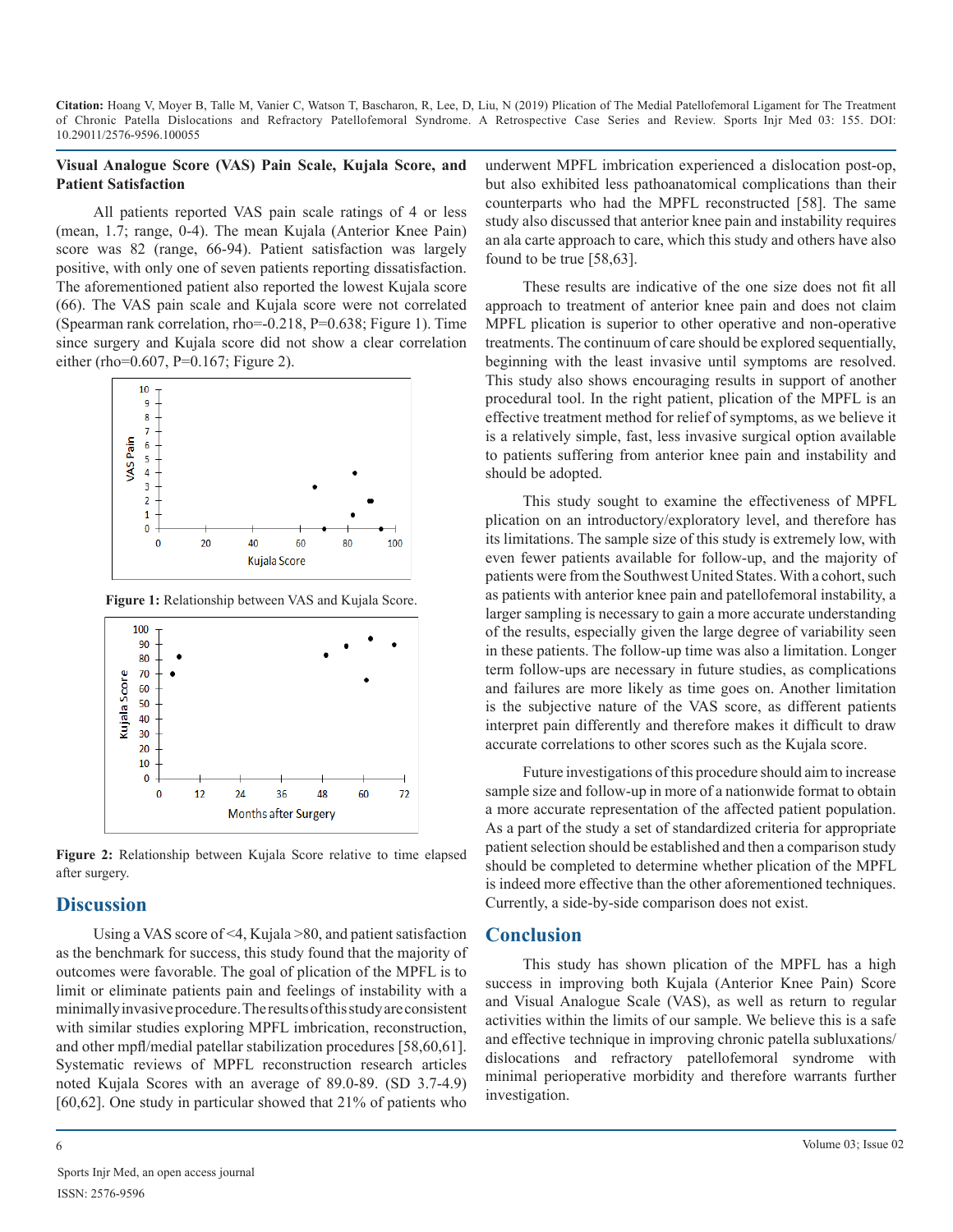#### **Visual Analogue Score (VAS) Pain Scale, Kujala Score, and Patient Satisfaction**

All patients reported VAS pain scale ratings of 4 or less (mean, 1.7; range, 0-4). The mean Kujala (Anterior Knee Pain) score was 82 (range, 66-94). Patient satisfaction was largely positive, with only one of seven patients reporting dissatisfaction. The aforementioned patient also reported the lowest Kujala score (66). The VAS pain scale and Kujala score were not correlated (Spearman rank correlation, rho=-0.218, P=0.638; Figure 1). Time since surgery and Kujala score did not show a clear correlation either (rho=0.607, P=0.167; Figure 2).



**Figure 1:** Relationship between VAS and Kujala Score.



**Figure 2:** Relationship between Kujala Score relative to time elapsed after surgery.

# **Discussion**

Using a VAS score of <4, Kujala >80, and patient satisfaction as the benchmark for success, this study found that the majority of outcomes were favorable. The goal of plication of the MPFL is to limit or eliminate patients pain and feelings of instability with a minimally invasive procedure. The results of this study are consistent with similar studies exploring MPFL imbrication, reconstruction, and other mpfl/medial patellar stabilization procedures [58,60,61]. Systematic reviews of MPFL reconstruction research articles noted Kujala Scores with an average of 89.0-89. (SD 3.7-4.9) [60,62]. One study in particular showed that 21% of patients who

underwent MPFL imbrication experienced a dislocation post-op, but also exhibited less pathoanatomical complications than their counterparts who had the MPFL reconstructed [58]. The same study also discussed that anterior knee pain and instability requires an ala carte approach to care, which this study and others have also found to be true [58,63].

These results are indicative of the one size does not fit all approach to treatment of anterior knee pain and does not claim MPFL plication is superior to other operative and non-operative treatments. The continuum of care should be explored sequentially, beginning with the least invasive until symptoms are resolved. This study also shows encouraging results in support of another procedural tool. In the right patient, plication of the MPFL is an effective treatment method for relief of symptoms, as we believe it is a relatively simple, fast, less invasive surgical option available to patients suffering from anterior knee pain and instability and should be adopted.

This study sought to examine the effectiveness of MPFL plication on an introductory/exploratory level, and therefore has its limitations. The sample size of this study is extremely low, with even fewer patients available for follow-up, and the majority of patients were from the Southwest United States. With a cohort, such as patients with anterior knee pain and patellofemoral instability, a larger sampling is necessary to gain a more accurate understanding of the results, especially given the large degree of variability seen in these patients. The follow-up time was also a limitation. Longer term follow-ups are necessary in future studies, as complications and failures are more likely as time goes on. Another limitation is the subjective nature of the VAS score, as different patients interpret pain differently and therefore makes it difficult to draw accurate correlations to other scores such as the Kujala score.

Future investigations of this procedure should aim to increase sample size and follow-up in more of a nationwide format to obtain a more accurate representation of the affected patient population. As a part of the study a set of standardized criteria for appropriate patient selection should be established and then a comparison study should be completed to determine whether plication of the MPFL is indeed more effective than the other aforementioned techniques. Currently, a side-by-side comparison does not exist.

# **Conclusion**

This study has shown plication of the MPFL has a high success in improving both Kujala (Anterior Knee Pain) Score and Visual Analogue Scale (VAS), as well as return to regular activities within the limits of our sample. We believe this is a safe and effective technique in improving chronic patella subluxations/ dislocations and refractory patellofemoral syndrome with minimal perioperative morbidity and therefore warrants further investigation.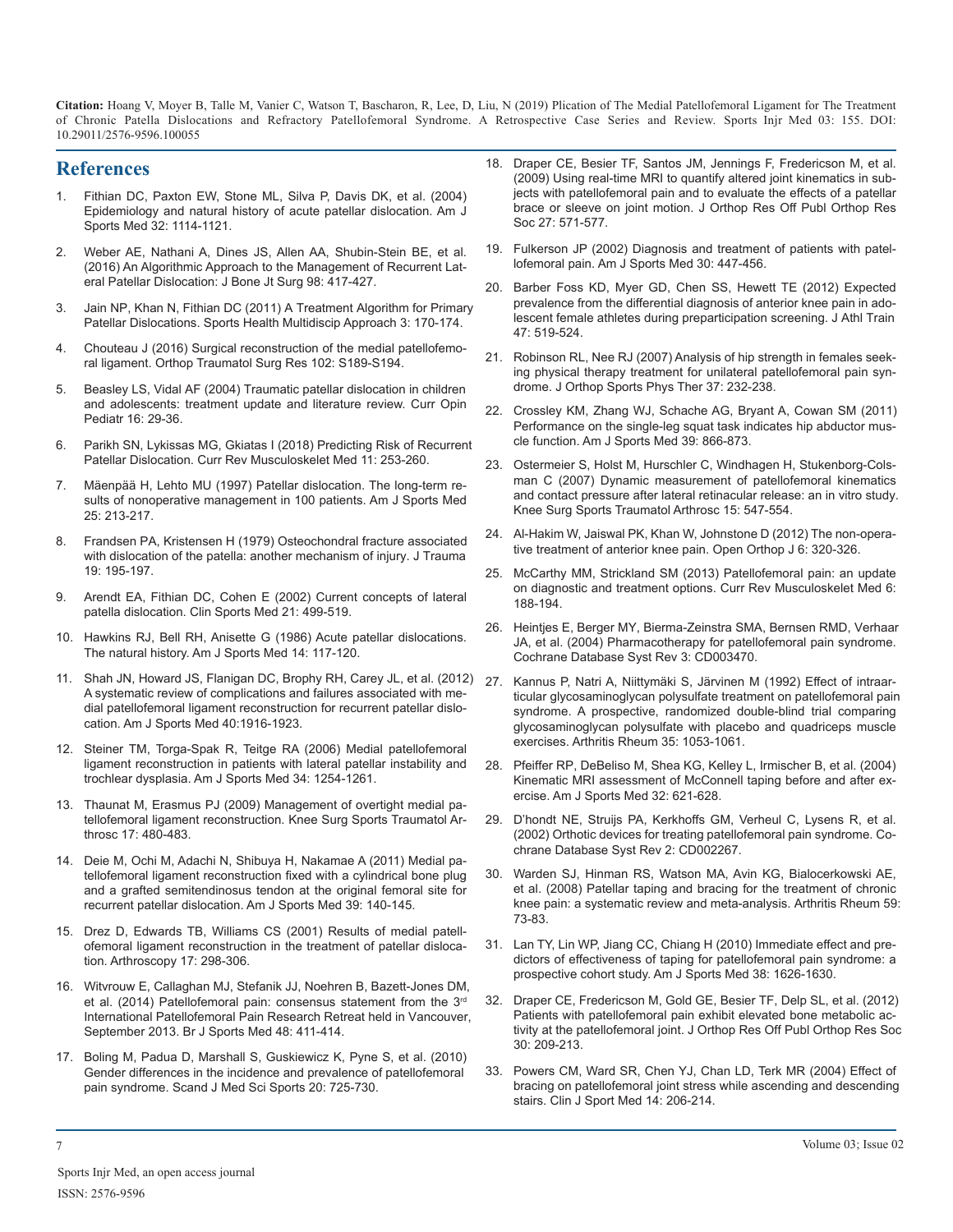## **References**

- 1. [Fithian DC, Paxton EW, Stone ML, Silva P, Davis DK, et al. \(2004\)](https://www.ncbi.nlm.nih.gov/pubmed/15262631) [Epidemiology and natural history of acute patellar dislocation. Am J](https://www.ncbi.nlm.nih.gov/pubmed/15262631)  [Sports Med 32: 1114-1121.](https://www.ncbi.nlm.nih.gov/pubmed/15262631)
- 2. [Weber AE, Nathani A, Dines JS, Allen AA, Shubin-Stein BE, et al.](https://www.ncbi.nlm.nih.gov/pubmed/26935465)  [\(2016\) An Algorithmic Approach to the Management of Recurrent Lat](https://www.ncbi.nlm.nih.gov/pubmed/26935465)[eral Patellar Dislocation: J Bone Jt Surg 98: 417-427.](https://www.ncbi.nlm.nih.gov/pubmed/26935465)
- 3. [Jain NP, Khan N, Fithian DC \(2011\) A Treatment Algorithm for Primar](https://www.ncbi.nlm.nih.gov/pubmed/23016004)y [Patellar Dislocations. Sports Health Multidiscip Approach 3: 170-174.](https://www.ncbi.nlm.nih.gov/pubmed/23016004)
- 4. [Chouteau J \(2016\) Surgical reconstruction of the medial patellofemo](https://www.ncbi.nlm.nih.gov/pubmed/26797001)[ral ligament. Orthop Traumatol Surg Res 102: S189-S194.](https://www.ncbi.nlm.nih.gov/pubmed/26797001)
- 5. [Beasley LS, Vidal AF \(2004\) Traumatic patellar dislocation in children](https://www.ncbi.nlm.nih.gov/pubmed/14758111)  [and adolescents: treatment update and literature review. Curr Opin](https://www.ncbi.nlm.nih.gov/pubmed/14758111)  [Pediatr 16: 29-36.](https://www.ncbi.nlm.nih.gov/pubmed/14758111)
- 6. [Parikh SN, Lykissas MG, Gkiatas I \(2018\) Predicting Risk of Recurren](https://www.ncbi.nlm.nih.gov/pubmed/29736871)t [Patellar Dislocation. Curr Rev Musculoskelet Med 11: 253-260.](https://www.ncbi.nlm.nih.gov/pubmed/29736871)
- 7. [Mäenpää H, Lehto MU \(1997\) Patellar dislocation. The long-term re](https://www.ncbi.nlm.nih.gov/pubmed/9079176)[sults of nonoperative management in 100 patients. Am J Sports Med](https://www.ncbi.nlm.nih.gov/pubmed/9079176)  [25: 213-217.](https://www.ncbi.nlm.nih.gov/pubmed/9079176)
- 8. [Frandsen PA, Kristensen H \(1979\) Osteochondral fracture associated](https://www.ncbi.nlm.nih.gov/pubmed/458886)  [with dislocation of the patella: another mechanism of injury. J Trauma](https://www.ncbi.nlm.nih.gov/pubmed/458886)  [19: 195-197.](https://www.ncbi.nlm.nih.gov/pubmed/458886)
- 9. [Arendt EA, Fithian DC, Cohen E \(2002\) Current concepts of lateral](https://www.ncbi.nlm.nih.gov/pubmed/12365240)  [patella dislocation. Clin Sports Med 21: 499-519.](https://www.ncbi.nlm.nih.gov/pubmed/12365240)
- 10. [Hawkins RJ, Bell RH, Anisette G \(1986\) Acute patellar dislocations.](https://www.ncbi.nlm.nih.gov/pubmed/3717480)  [The natural history. Am J Sports Med 14: 117-120.](https://www.ncbi.nlm.nih.gov/pubmed/3717480)
- 11. [Shah JN, Howard JS, Flanigan DC, Brophy RH, Carey JL, et al. \(2012](https://www.ncbi.nlm.nih.gov/pubmed/22679297)) [A systematic review of complications and failures associated with me](https://www.ncbi.nlm.nih.gov/pubmed/22679297)[dial patellofemoral ligament reconstruction for recurrent patellar dislo](https://www.ncbi.nlm.nih.gov/pubmed/22679297)[cation. Am J Sports Med 40:1916-1923.](https://www.ncbi.nlm.nih.gov/pubmed/22679297)
- 12. [Steiner TM, Torga-Spak R, Teitge RA \(2006\) Medial patellofemoral](https://www.ncbi.nlm.nih.gov/pubmed/16567459)  [ligament reconstruction in patients with lateral patellar instability and](https://www.ncbi.nlm.nih.gov/pubmed/16567459)  [trochlear dysplasia. Am J Sports Med 34: 1254-1261.](https://www.ncbi.nlm.nih.gov/pubmed/16567459)
- 13. [Thaunat M, Erasmus PJ \(2009\) Management of overtight medial pa](https://www.ncbi.nlm.nih.gov/pubmed/19132347)[tellofemoral ligament reconstruction. Knee Surg Sports Traumatol Ar](https://www.ncbi.nlm.nih.gov/pubmed/19132347)[throsc 17: 480-483.](https://www.ncbi.nlm.nih.gov/pubmed/19132347)
- 14. [Deie M, Ochi M, Adachi N, Shibuya H, Nakamae A \(2011\) Medial pa](https://www.ncbi.nlm.nih.gov/pubmed/20929934)[tellofemoral ligament reconstruction fixed with a cylindrical bone plug](https://www.ncbi.nlm.nih.gov/pubmed/20929934)  [and a grafted semitendinosus tendon at the original femoral site for](https://www.ncbi.nlm.nih.gov/pubmed/20929934)  [recurrent patellar dislocation. Am J Sports Med 39: 140-145.](https://www.ncbi.nlm.nih.gov/pubmed/20929934)
- 15. [Drez D, Edwards TB, Williams CS \(2001\) Results of medial patell](https://www.ncbi.nlm.nih.gov/pubmed/11239352)[ofemoral ligament reconstruction in the treatment of patellar disloca](https://www.ncbi.nlm.nih.gov/pubmed/11239352)[tion. Arthroscopy 17: 298-306.](https://www.ncbi.nlm.nih.gov/pubmed/11239352)
- 16. [Witvrouw E, Callaghan MJ, Stefanik JJ, Noehren B, Bazett-Jones DM,](https://www.ncbi.nlm.nih.gov/pubmed/24569145)  et al. (2014) Patellofemoral pain: consensus statement from the 3rd [International Patellofemoral Pain Research Retreat held in Vancouver](https://www.ncbi.nlm.nih.gov/pubmed/24569145), [September 2013. Br J Sports Med 48: 411-414.](https://www.ncbi.nlm.nih.gov/pubmed/24569145)
- 17. [Boling M, Padua D, Marshall S, Guskiewicz K, Pyne S, et al. \(2010\)](https://www.ncbi.nlm.nih.gov/pubmed/19765240)  [Gender differences in the incidence and prevalence of patellofemoral](https://www.ncbi.nlm.nih.gov/pubmed/19765240)  [pain syndrome. Scand J Med Sci Sports 20: 725-730.](https://www.ncbi.nlm.nih.gov/pubmed/19765240)
- 18. [Draper CE, Besier TF, Santos JM, Jennings F, Fredericson M, et al.](https://www.ncbi.nlm.nih.gov/pubmed/18985690) [\(2009\) Using real-time MRI to quantify altered joint kinematics in sub](https://www.ncbi.nlm.nih.gov/pubmed/18985690)[jects with patellofemoral pain and to evaluate the effects of a patellar](https://www.ncbi.nlm.nih.gov/pubmed/18985690)  [brace or sleeve on joint motion. J Orthop Res Off Publ Orthop Res](https://www.ncbi.nlm.nih.gov/pubmed/18985690)  [Soc 27: 571-577.](https://www.ncbi.nlm.nih.gov/pubmed/18985690)
- 19. [Fulkerson JP \(2002\) Diagnosis and treatment of patients with patel](https://www.ncbi.nlm.nih.gov/pubmed/12016090)lofemoral pain. Am J Sports Med 30: 447-456.
- 20. [Barber Foss KD, Myer GD, Chen SS, Hewett TE \(2012\) Expected](https://www.ncbi.nlm.nih.gov/pubmed/23068589) [prevalence from the differential diagnosis of anterior knee pain in ado](https://www.ncbi.nlm.nih.gov/pubmed/23068589)[lescent female athletes during preparticipation screening. J Athl Train](https://www.ncbi.nlm.nih.gov/pubmed/23068589)  [47: 519-524.](https://www.ncbi.nlm.nih.gov/pubmed/23068589)
- 21. [Robinson RL, Nee RJ \(2007\) Analysis of hip strength in females seek](https://www.ncbi.nlm.nih.gov/pubmed/17549951)[ing physical therapy treatment for unilateral patellofemoral pain syn](https://www.ncbi.nlm.nih.gov/pubmed/17549951)[drome. J Orthop Sports Phys Ther 37: 232-238.](https://www.ncbi.nlm.nih.gov/pubmed/17549951)
- 22. [Crossley KM, Zhang WJ, Schache AG, Bryant A, Cowan SM \(2011\)](https://www.ncbi.nlm.nih.gov/pubmed/21335344)  [Performance on the single-leg squat task indicates hip abductor mus](https://www.ncbi.nlm.nih.gov/pubmed/21335344)[cle function. Am J Sports Med 39: 866-873.](https://www.ncbi.nlm.nih.gov/pubmed/21335344)
- 23. [Ostermeier S, Holst M, Hurschler C, Windhagen H, Stukenborg-Cols](https://www.ncbi.nlm.nih.gov/pubmed/17225178)[man C \(2007\) Dynamic measurement of patellofemoral kinematics](https://www.ncbi.nlm.nih.gov/pubmed/17225178)  [and contact pressure after lateral retinacular release: an in vitro study.](https://www.ncbi.nlm.nih.gov/pubmed/17225178)  [Knee Surg Sports Traumatol Arthrosc 15: 547-554.](https://www.ncbi.nlm.nih.gov/pubmed/17225178)
- 24. [Al-Hakim W, Jaiswal PK, Khan W, Johnstone D \(2012\) The non-opera](https://www.ncbi.nlm.nih.gov/pubmed/22896779)[tive treatment of anterior knee pain. Open Orthop J 6: 320-326.](https://www.ncbi.nlm.nih.gov/pubmed/22896779)
- 25. [McCarthy MM, Strickland SM \(2013\) Patellofemoral pain: an update](https://www.ncbi.nlm.nih.gov/pubmed/23456237)  [on diagnostic and treatment options. Curr Rev Musculoskelet Med 6:](https://www.ncbi.nlm.nih.gov/pubmed/23456237)  [188-194.](https://www.ncbi.nlm.nih.gov/pubmed/23456237)
- 26. [Heintjes E, Berger MY, Bierma-Zeinstra SMA, Bernsen RMD, Verhaar](https://www.ncbi.nlm.nih.gov/pubmed/15266488)  [JA, et al. \(2004\) Pharmacotherapy for patellofemoral pain syndrome.](https://www.ncbi.nlm.nih.gov/pubmed/15266488) [Cochrane Database Syst Rev 3: CD003470.](https://www.ncbi.nlm.nih.gov/pubmed/15266488)
- 27. [Kannus P, Natri A, Niittymäki S, Järvinen M \(1992\) Effect of intraar](https://www.ncbi.nlm.nih.gov/pubmed/1418021)[ticular glycosaminoglycan polysulfate treatment on patellofemoral pain](https://www.ncbi.nlm.nih.gov/pubmed/1418021)  [syndrome. A prospective, randomized double-blind trial comparing](https://www.ncbi.nlm.nih.gov/pubmed/1418021)  [glycosaminoglycan polysulfate with placebo and quadriceps muscle](https://www.ncbi.nlm.nih.gov/pubmed/1418021)  [exercises. Arthritis Rheum 35: 1053-1061.](https://www.ncbi.nlm.nih.gov/pubmed/1418021)
- 28. [Pfeiffer RP, DeBeliso M, Shea KG, Kelley L, Irmischer B, et al. \(2004\)](https://www.ncbi.nlm.nih.gov/pubmed/15090376)  [Kinematic MRI assessment of McConnell taping before and after ex](https://www.ncbi.nlm.nih.gov/pubmed/15090376)[ercise. Am J Sports Med 32: 621-628.](https://www.ncbi.nlm.nih.gov/pubmed/15090376)
- 29. [D'hondt NE, Struijs PA, Kerkhoffs GM, Verheul C, Lysens R, et al.](https://www.ncbi.nlm.nih.gov/pubmed/12076444)  [\(2002\) Orthotic devices for treating patellofemoral pain syndrome. Co](https://www.ncbi.nlm.nih.gov/pubmed/12076444)[chrane Database Syst Rev 2: CD002267.](https://www.ncbi.nlm.nih.gov/pubmed/12076444)
- 30. [Warden SJ, Hinman RS, Watson MA, Avin KG, Bialocerkowski AE,](https://www.ncbi.nlm.nih.gov/pubmed/18163413)  [et al. \(2008\) Patellar taping and bracing for the treatment of chronic](https://www.ncbi.nlm.nih.gov/pubmed/18163413)  [knee pain: a systematic review and meta-analysis. Arthritis Rheum 59](https://www.ncbi.nlm.nih.gov/pubmed/18163413): [73-83.](https://www.ncbi.nlm.nih.gov/pubmed/18163413)
- 31. [Lan TY, Lin WP, Jiang CC, Chiang H \(2010\) Immediate effect and pre](https://www.ncbi.nlm.nih.gov/pubmed/20505056)[dictors of effectiveness of taping for patellofemoral pain syndrome: a](https://www.ncbi.nlm.nih.gov/pubmed/20505056)  [prospective cohort study. Am J Sports Med 38: 1626-1630.](https://www.ncbi.nlm.nih.gov/pubmed/20505056)
- 32. [Draper CE, Fredericson M, Gold GE, Besier TF, Delp SL, et al. \(2012\)](https://www.ncbi.nlm.nih.gov/pubmed/21812024)  [Patients with patellofemoral pain exhibit elevated bone metabolic ac](https://www.ncbi.nlm.nih.gov/pubmed/21812024)[tivity at the patellofemoral joint. J Orthop Res Off Publ Orthop Res Soc](https://www.ncbi.nlm.nih.gov/pubmed/21812024)  [30: 209-213.](https://www.ncbi.nlm.nih.gov/pubmed/21812024)
- 33. [Powers CM, Ward SR, Chen YJ, Chan LD, Terk MR \(2004\) Effect of](https://www.ncbi.nlm.nih.gov/pubmed/15273526)  [bracing on patellofemoral joint stress while ascending and descending](https://www.ncbi.nlm.nih.gov/pubmed/15273526)  [stairs. Clin J Sport Med 14: 206-214.](https://www.ncbi.nlm.nih.gov/pubmed/15273526)